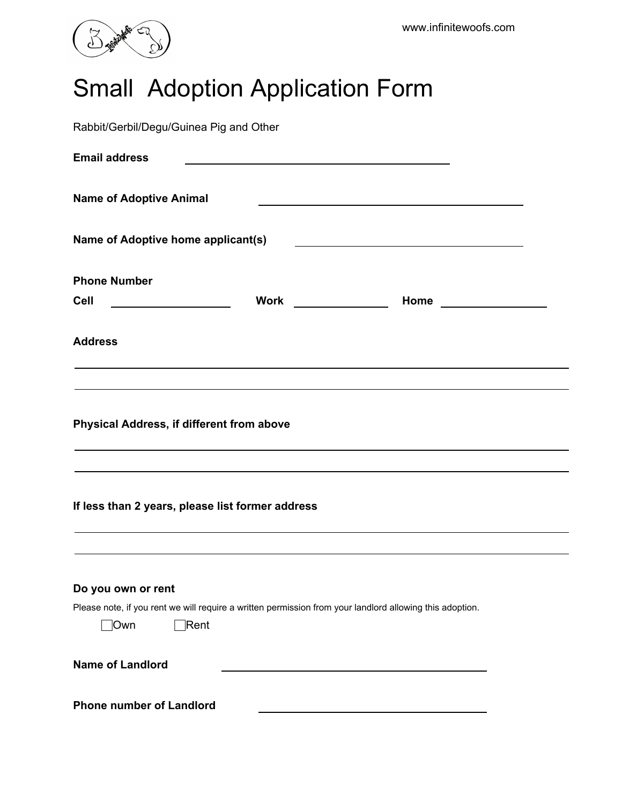

## Small Adoption Application Form

Rabbit/Gerbil/Degu/Guinea Pig and Other

| <b>Email address</b><br><u> 1980 - John Stein, amerikansk politiker (</u> † 1920)                                                                      |
|--------------------------------------------------------------------------------------------------------------------------------------------------------|
| <b>Name of Adoptive Animal</b><br><u> 1980 - Johann Barn, mars ann an t-Amhain Aonaich an t-Aonaich an t-Aonaich ann an t-Aonaich ann an t-Aonaich</u> |
| Name of Adoptive home applicant(s)                                                                                                                     |
| <b>Phone Number</b><br><b>Cell</b><br><b>Work</b> ________________                                                                                     |
| <b>Address</b>                                                                                                                                         |
|                                                                                                                                                        |
| Physical Address, if different from above                                                                                                              |
| If less than 2 years, please list former address                                                                                                       |
|                                                                                                                                                        |
| Do you own or rent<br>Please note, if you rent we will require a written permission from your landlord allowing this adoption.<br>้∣Own<br>Rent        |
| <b>Name of Landlord</b>                                                                                                                                |
| <b>Phone number of Landlord</b>                                                                                                                        |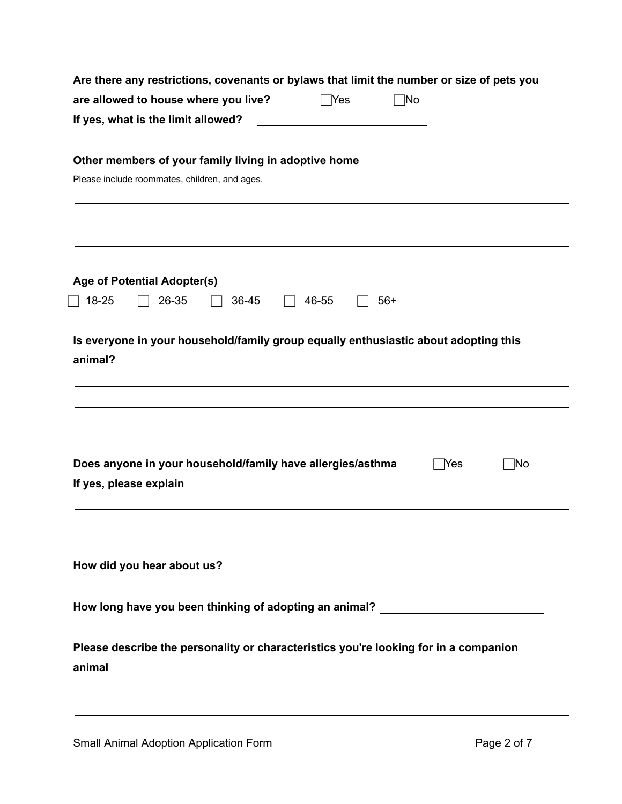| are allowed to house where you live?<br>$\Box$ No<br>$\bigcap$ Yes<br>If yes, what is the limit allowed?<br>Other members of your family living in adoptive home<br>Please include roommates, children, and ages.<br>Age of Potential Adopter(s)<br>26-35<br>18-25<br>36-45<br>46-55<br>$56+$<br>Is everyone in your household/family group equally enthusiastic about adopting this<br>animal?<br>Does anyone in your household/family have allergies/asthma<br>$\overline{\textsf{No}}$<br>Yes |
|--------------------------------------------------------------------------------------------------------------------------------------------------------------------------------------------------------------------------------------------------------------------------------------------------------------------------------------------------------------------------------------------------------------------------------------------------------------------------------------------------|
|                                                                                                                                                                                                                                                                                                                                                                                                                                                                                                  |
|                                                                                                                                                                                                                                                                                                                                                                                                                                                                                                  |
|                                                                                                                                                                                                                                                                                                                                                                                                                                                                                                  |
|                                                                                                                                                                                                                                                                                                                                                                                                                                                                                                  |
|                                                                                                                                                                                                                                                                                                                                                                                                                                                                                                  |
|                                                                                                                                                                                                                                                                                                                                                                                                                                                                                                  |
|                                                                                                                                                                                                                                                                                                                                                                                                                                                                                                  |
|                                                                                                                                                                                                                                                                                                                                                                                                                                                                                                  |
|                                                                                                                                                                                                                                                                                                                                                                                                                                                                                                  |
|                                                                                                                                                                                                                                                                                                                                                                                                                                                                                                  |
|                                                                                                                                                                                                                                                                                                                                                                                                                                                                                                  |
|                                                                                                                                                                                                                                                                                                                                                                                                                                                                                                  |
|                                                                                                                                                                                                                                                                                                                                                                                                                                                                                                  |
|                                                                                                                                                                                                                                                                                                                                                                                                                                                                                                  |
|                                                                                                                                                                                                                                                                                                                                                                                                                                                                                                  |
|                                                                                                                                                                                                                                                                                                                                                                                                                                                                                                  |
|                                                                                                                                                                                                                                                                                                                                                                                                                                                                                                  |
|                                                                                                                                                                                                                                                                                                                                                                                                                                                                                                  |
|                                                                                                                                                                                                                                                                                                                                                                                                                                                                                                  |
| If yes, please explain                                                                                                                                                                                                                                                                                                                                                                                                                                                                           |
|                                                                                                                                                                                                                                                                                                                                                                                                                                                                                                  |
|                                                                                                                                                                                                                                                                                                                                                                                                                                                                                                  |
|                                                                                                                                                                                                                                                                                                                                                                                                                                                                                                  |
| How did you hear about us?<br><u> 1989 - Johann Stoff, deutscher Stoffen und der Stoffen und der Stoffen und der Stoffen und der Stoffen und der</u>                                                                                                                                                                                                                                                                                                                                             |
|                                                                                                                                                                                                                                                                                                                                                                                                                                                                                                  |
| How long have you been thinking of adopting an animal? _________________________                                                                                                                                                                                                                                                                                                                                                                                                                 |
|                                                                                                                                                                                                                                                                                                                                                                                                                                                                                                  |
| Please describe the personality or characteristics you're looking for in a companion                                                                                                                                                                                                                                                                                                                                                                                                             |
| animal                                                                                                                                                                                                                                                                                                                                                                                                                                                                                           |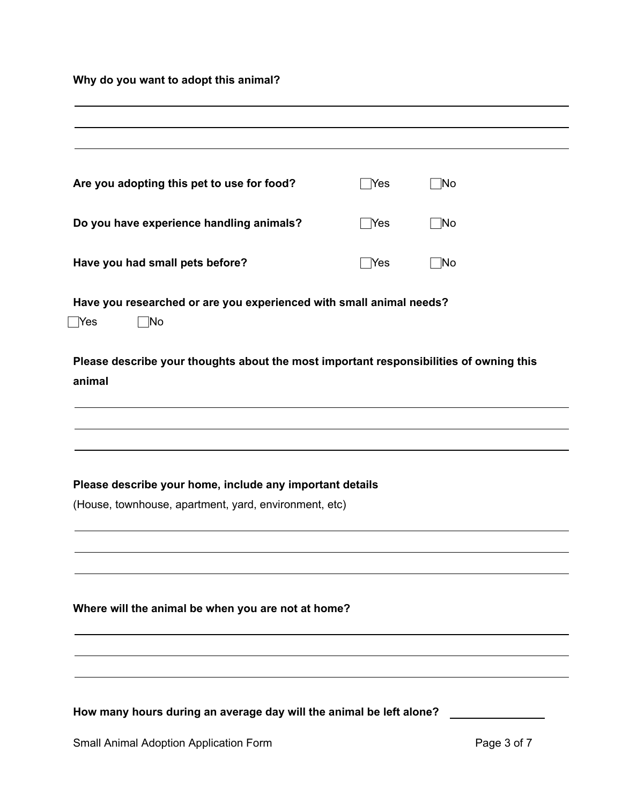**Why do you want to adopt this animal?**

| Are you adopting this pet to use for food?                                                       | Yes | ⊺No                      |
|--------------------------------------------------------------------------------------------------|-----|--------------------------|
| Do you have experience handling animals?                                                         | Yes | $\overline{\textsf{No}}$ |
| Have you had small pets before?                                                                  | Yes | $\overline{\textsf{No}}$ |
| Have you researched or are you experienced with small animal needs?<br>$\Box$ No<br>Yes          |     |                          |
| Please describe your thoughts about the most important responsibilities of owning this<br>animal |     |                          |
|                                                                                                  |     |                          |
| Please describe your home, include any important details                                         |     |                          |
| (House, townhouse, apartment, yard, environment, etc)                                            |     |                          |
|                                                                                                  |     |                          |
| Where will the animal be when you are not at home?                                               |     |                          |
|                                                                                                  |     |                          |
|                                                                                                  |     |                          |
| How many hours during an average day will the animal be left alone?                              |     |                          |
| Small Animal Adoption Application Form                                                           |     | Page 3 of 7              |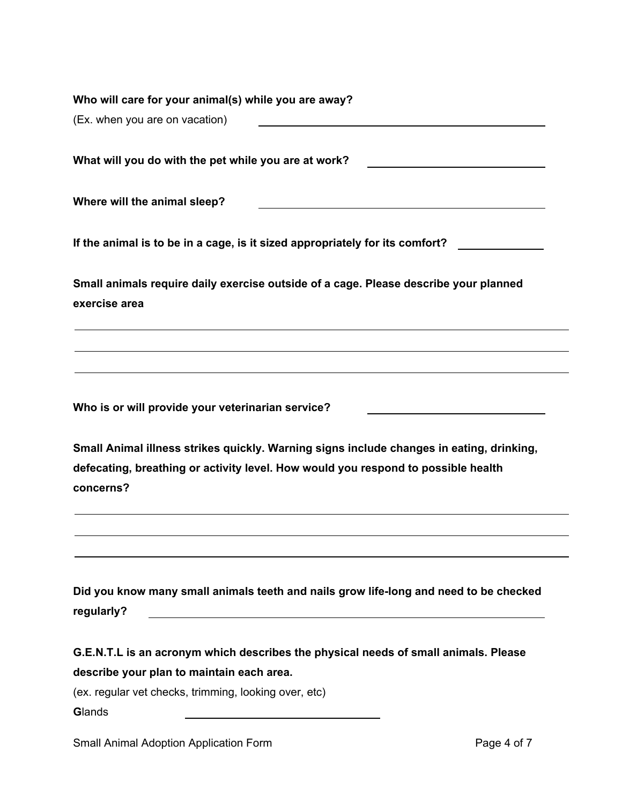| Who will care for your animal(s) while you are away?                                                                                                                                       |                                                    |
|--------------------------------------------------------------------------------------------------------------------------------------------------------------------------------------------|----------------------------------------------------|
| (Ex. when you are on vacation)<br><u> 1989 - Johann Stoff, deutscher Stoffen und der Stoffen und der Stoffen und der Stoffen und der Stoffen und der</u>                                   |                                                    |
| What will you do with the pet while you are at work?                                                                                                                                       | <u> 1980 - Johann Barbara, martxa amerikan per</u> |
| Where will the animal sleep?<br><u> 1989 - Johann Stoff, deutscher Stoffen und der Stoffen und der Stoffen und der Stoffen und der Stoffen und de</u>                                      |                                                    |
| If the animal is to be in a cage, is it sized appropriately for its comfort?                                                                                                               |                                                    |
| Small animals require daily exercise outside of a cage. Please describe your planned<br>exercise area                                                                                      |                                                    |
|                                                                                                                                                                                            |                                                    |
| Who is or will provide your veterinarian service?                                                                                                                                          |                                                    |
| Small Animal illness strikes quickly. Warning signs include changes in eating, drinking,<br>defecating, breathing or activity level. How would you respond to possible health<br>concerns? |                                                    |
|                                                                                                                                                                                            |                                                    |
| Did you know many small animals teeth and nails grow life-long and need to be checked<br>regularly?                                                                                        |                                                    |
| G.E.N.T.L is an acronym which describes the physical needs of small animals. Please                                                                                                        |                                                    |
| describe your plan to maintain each area.                                                                                                                                                  |                                                    |
| (ex. regular vet checks, trimming, looking over, etc)<br>Glands                                                                                                                            |                                                    |
| Small Animal Adoption Application Form                                                                                                                                                     | Page 4 of 7                                        |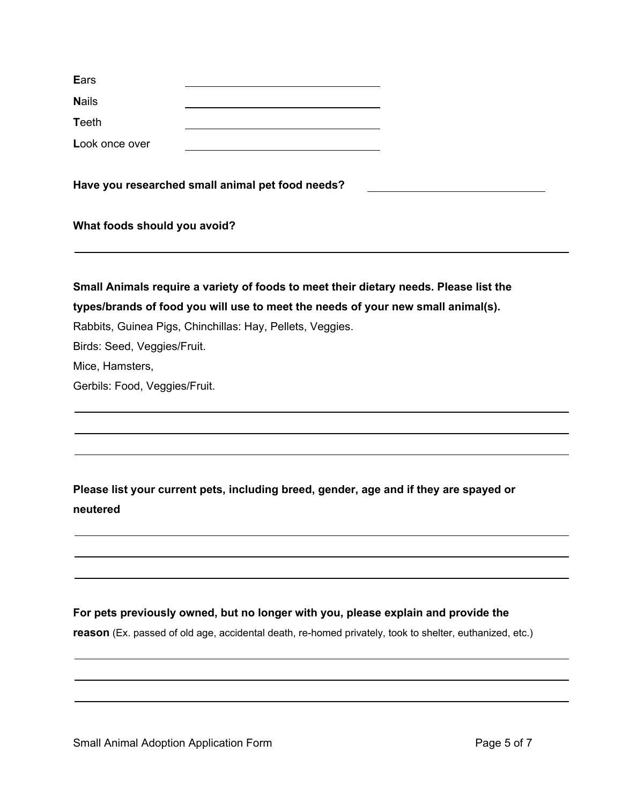| <b>Ears</b>                                      |                                                                                       |  |  |  |  |  |  |
|--------------------------------------------------|---------------------------------------------------------------------------------------|--|--|--|--|--|--|
| <b>Nails</b>                                     |                                                                                       |  |  |  |  |  |  |
| <b>Teeth</b>                                     |                                                                                       |  |  |  |  |  |  |
| Look once over                                   |                                                                                       |  |  |  |  |  |  |
| Have you researched small animal pet food needs? |                                                                                       |  |  |  |  |  |  |
| What foods should you avoid?                     |                                                                                       |  |  |  |  |  |  |
|                                                  | Small Animals require a variety of foods to meet their dietary needs. Please list the |  |  |  |  |  |  |
|                                                  | types/brands of food you will use to meet the needs of your new small animal(s).      |  |  |  |  |  |  |
|                                                  | Rabbits, Guinea Pigs, Chinchillas: Hay, Pellets, Veggies.                             |  |  |  |  |  |  |
| Birds: Seed, Veggies/Fruit.                      |                                                                                       |  |  |  |  |  |  |
| Mice, Hamsters,                                  |                                                                                       |  |  |  |  |  |  |
| Gerbils: Food, Veggies/Fruit.                    |                                                                                       |  |  |  |  |  |  |
|                                                  |                                                                                       |  |  |  |  |  |  |
|                                                  |                                                                                       |  |  |  |  |  |  |
| neutered                                         | Please list your current pets, including breed, gender, age and if they are spayed or |  |  |  |  |  |  |
|                                                  |                                                                                       |  |  |  |  |  |  |
|                                                  |                                                                                       |  |  |  |  |  |  |
|                                                  |                                                                                       |  |  |  |  |  |  |

## **For pets previously owned, but no longer with you, please explain and provide the**

**reason** (Ex. passed of old age, accidental death, re-homed privately, took to shelter, euthanized, etc.)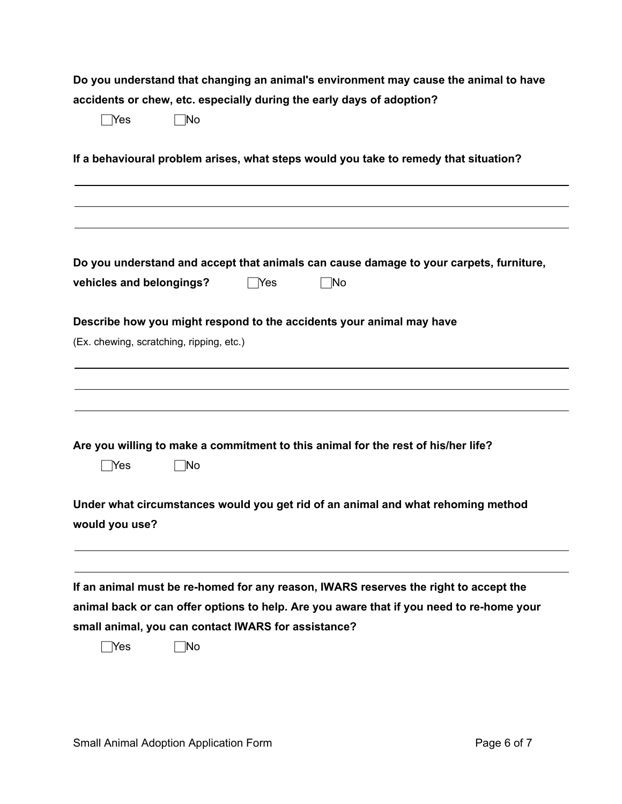| Do you understand that changing an animal's environment may cause the animal to have |
|--------------------------------------------------------------------------------------|
| accidents or chew, etc. especially during the early days of adoption?                |

| Yes<br><b>INo</b>                                   |                                                                                          |
|-----------------------------------------------------|------------------------------------------------------------------------------------------|
|                                                     | If a behavioural problem arises, what steps would you take to remedy that situation?     |
|                                                     |                                                                                          |
|                                                     | Do you understand and accept that animals can cause damage to your carpets, furniture,   |
| vehicles and belongings?                            | ⊺No<br><b>Yes</b>                                                                        |
|                                                     | Describe how you might respond to the accidents your animal may have                     |
| (Ex. chewing, scratching, ripping, etc.)            |                                                                                          |
|                                                     |                                                                                          |
|                                                     |                                                                                          |
|                                                     |                                                                                          |
| ⊺No<br>Yes                                          | Are you willing to make a commitment to this animal for the rest of his/her life?        |
|                                                     |                                                                                          |
|                                                     | Under what circumstances would you get rid of an animal and what rehoming method         |
| would you use?                                      |                                                                                          |
|                                                     |                                                                                          |
|                                                     | If an animal must be re-homed for any reason, IWARS reserves the right to accept the     |
|                                                     | animal back or can offer options to help. Are you aware that if you need to re-home your |
| small animal, you can contact IWARS for assistance? |                                                                                          |
| Yes<br>$\overline{\textsf{No}}$                     |                                                                                          |